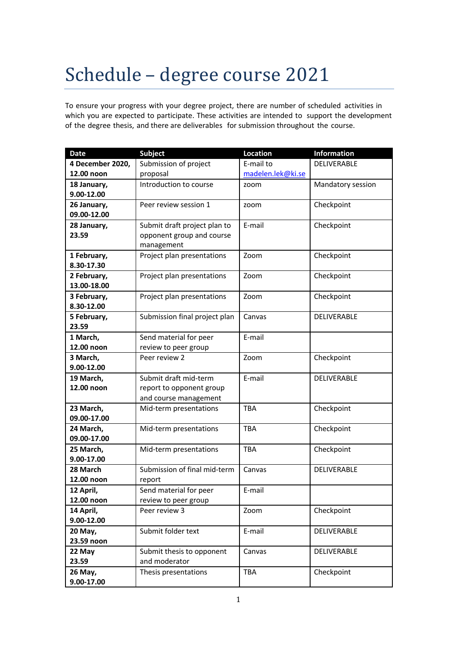## Schedule – degree course 2021

To ensure your progress with your degree project, there are number of scheduled activities in which you are expected to participate. These activities are intended to support the development of the degree thesis, and there are deliverables for submission throughout the course.

| <b>Date</b>            | <b>Subject</b>                                 | Location          | <b>Information</b> |
|------------------------|------------------------------------------------|-------------------|--------------------|
| 4 December 2020,       | Submission of project                          | E-mail to         | DELIVERABLE        |
| 12.00 noon             | proposal                                       | madelen.lek@ki.se |                    |
| 18 January,            | Introduction to course                         | zoom              | Mandatory session  |
| 9.00-12.00             |                                                |                   |                    |
| 26 January,            | Peer review session 1                          | zoom              | Checkpoint         |
| 09.00-12.00            |                                                |                   |                    |
| 28 January,            | Submit draft project plan to                   | E-mail            | Checkpoint         |
| 23.59                  | opponent group and course                      |                   |                    |
|                        | management                                     |                   |                    |
| 1 February,            | Project plan presentations                     | Zoom              | Checkpoint         |
| 8.30-17.30             |                                                |                   |                    |
| 2 February,            | Project plan presentations                     | Zoom              | Checkpoint         |
| 13.00-18.00            |                                                |                   |                    |
| 3 February,            | Project plan presentations                     | Zoom              | Checkpoint         |
| 8.30-12.00             |                                                |                   |                    |
| 5 February,            | Submission final project plan                  | Canvas            | DELIVERABLE        |
| 23.59                  |                                                | E-mail            |                    |
| 1 March,<br>12.00 noon | Send material for peer<br>review to peer group |                   |                    |
| 3 March,               | Peer review 2                                  | Zoom              | Checkpoint         |
| 9.00-12.00             |                                                |                   |                    |
| 19 March,              | Submit draft mid-term                          | E-mail            | DELIVERABLE        |
| 12.00 noon             | report to opponent group                       |                   |                    |
|                        | and course management                          |                   |                    |
| 23 March,              | Mid-term presentations                         | TBA               | Checkpoint         |
| 09.00-17.00            |                                                |                   |                    |
| 24 March,              | Mid-term presentations                         | <b>TBA</b>        | Checkpoint         |
| 09.00-17.00            |                                                |                   |                    |
| 25 March,              | Mid-term presentations                         | <b>TBA</b>        | Checkpoint         |
| 9.00-17.00             |                                                |                   |                    |
| 28 March               | Submission of final mid-term                   | Canvas            | DELIVERABLE        |
| 12.00 noon             | report                                         |                   |                    |
| 12 April,              | Send material for peer                         | E-mail            |                    |
| 12.00 noon             | review to peer group                           |                   |                    |
| 14 April,              | Peer review 3                                  | Zoom              | Checkpoint         |
| 9.00-12.00             |                                                |                   |                    |
| 20 May,                | Submit folder text                             | E-mail            | DELIVERABLE        |
| 23.59 noon             |                                                |                   |                    |
| 22 May                 | Submit thesis to opponent                      | Canvas            | DELIVERABLE        |
| 23.59                  | and moderator                                  |                   |                    |
| 26 May,                | Thesis presentations                           | TBA               | Checkpoint         |
| 9.00-17.00             |                                                |                   |                    |